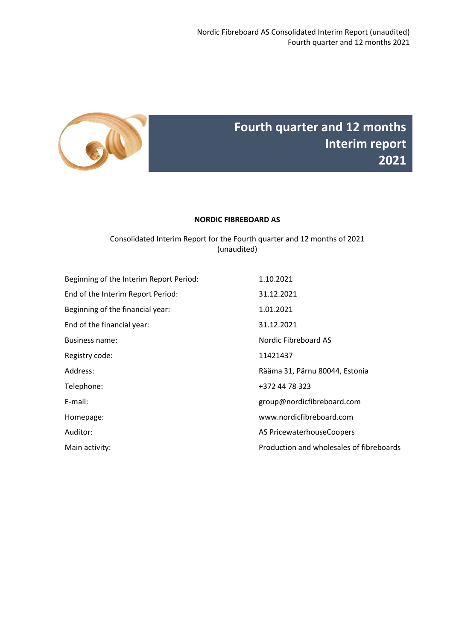

# **Fourth quarter and 12 months Interim report 2021**

#### **NORDIC FIBREBOARD AS**

# Consolidated Interim Report for the Fourth quarter and 12 months of 2021 (unaudited)

| Beginning of the Interim Report Period: | 1.10.2021                                |
|-----------------------------------------|------------------------------------------|
| End of the Interim Report Period:       | 31.12.2021                               |
| Beginning of the financial year:        | 1.01.2021                                |
| End of the financial year:              | 31.12.2021                               |
| Business name:                          | Nordic Fibreboard AS                     |
| Registry code:                          | 11421437                                 |
| Address:                                | Rääma 31, Pärnu 80044, Estonia           |
| Telephone:                              | +372 44 78 323                           |
| E-mail:                                 | group@nordicfibreboard.com               |
| Homepage:                               | www.nordicfibreboard.com                 |
| Auditor:                                | AS PricewaterhouseCoopers                |
| Main activity:                          | Production and wholesales of fibreboards |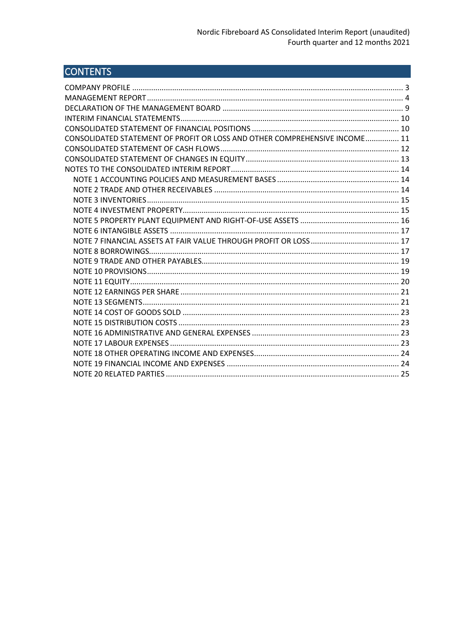# **CONTENTS**

| CONSOLIDATED STATEMENT OF PROFIT OR LOSS AND OTHER COMPREHENSIVE INCOME 11 |  |
|----------------------------------------------------------------------------|--|
|                                                                            |  |
|                                                                            |  |
|                                                                            |  |
|                                                                            |  |
|                                                                            |  |
|                                                                            |  |
|                                                                            |  |
|                                                                            |  |
|                                                                            |  |
|                                                                            |  |
|                                                                            |  |
|                                                                            |  |
|                                                                            |  |
|                                                                            |  |
|                                                                            |  |
|                                                                            |  |
|                                                                            |  |
|                                                                            |  |
|                                                                            |  |
|                                                                            |  |
|                                                                            |  |
|                                                                            |  |
|                                                                            |  |
|                                                                            |  |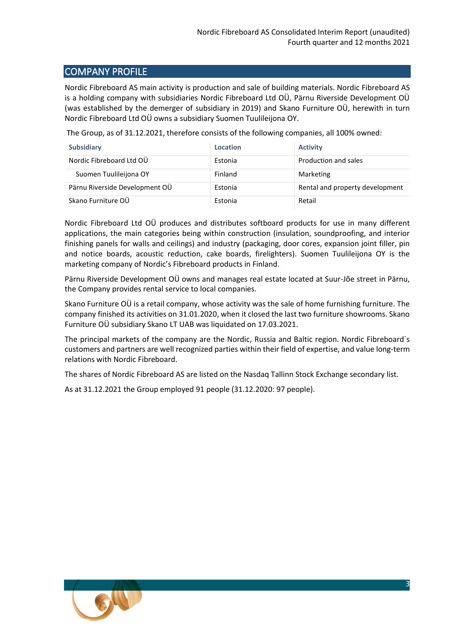# <span id="page-2-0"></span>COMPANY PROFILE

Nordic Fibreboard AS main activity is production and sale of building materials. Nordic Fibreboard AS is a holding company with subsidiaries Nordic Fibreboard Ltd OÜ, Pärnu Riverside Development OÜ (was established by the demerger of subsidiary in 2019) and Skano Furniture OÜ, herewith in turn Nordic Fibreboard Ltd OÜ owns a subsidiary Suomen Tuulileijona OY.

The Group, as of 31.12.2021, therefore consists of the following companies, all 100% owned:

| <b>Subsidiary</b>              | Location | <b>Activity</b>                 |
|--------------------------------|----------|---------------------------------|
| Nordic Fibreboard Ltd OÜ       | Estonia  | Production and sales            |
| Suomen Tuulileijona OY         | Finland  | Marketing                       |
| Pärnu Riverside Development OÜ | Estonia  | Rental and property development |
| Skano Furniture OÜ             | Estonia  | Retail                          |

Nordic Fibreboard Ltd OÜ produces and distributes softboard products for use in many different applications, the main categories being within construction (insulation, soundproofing, and interior finishing panels for walls and ceilings) and industry (packaging, door cores, expansion joint filler, pin and notice boards, acoustic reduction, cake boards, firelighters). Suomen Tuulileijona OY is the marketing company of Nordic's Fibreboard products in Finland.

Pärnu Riverside Development OÜ owns and manages real estate located at Suur-Jõe street in Pärnu, the Company provides rental service to local companies.

Skano Furniture OÜ is a retail company, whose activity was the sale of home furnishing furniture. The company finished its activities on 31.01.2020, when it closed the last two furniture showrooms. Skano Furniture OÜ subsidiary Skano LT UAB was liquidated on 17.03.2021.

The principal markets of the company are the Nordic, Russia and Baltic region. Nordic Fibreboard`s customers and partners are well recognized parties within their field of expertise, and value long-term relations with Nordic Fibreboard.

The shares of Nordic Fibreboard AS are listed on the Nasdaq Tallinn Stock Exchange secondary list.

As at 31.12.2021 the Group employed 91 people (31.12.2020: 97 people).

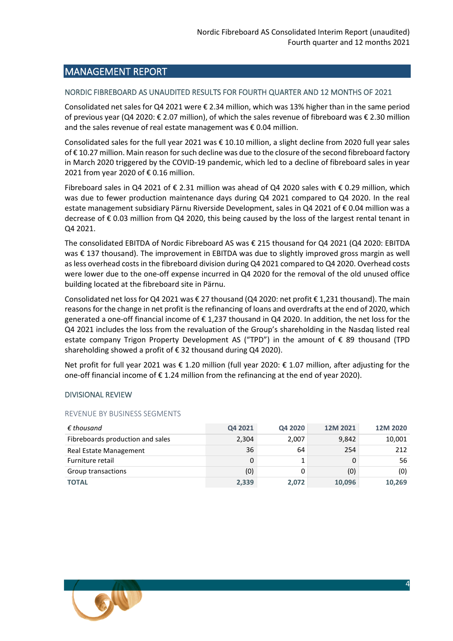# <span id="page-3-0"></span>MANAGEMENT REPORT

#### NORDIC FIBREBOARD AS UNAUDITED RESULTS FOR FOURTH QUARTER AND 12 MONTHS OF 2021

Consolidated net sales for Q4 2021 were € 2.34 million, which was 13% higher than in the same period of previous year (Q4 2020: € 2.07 million), of which the sales revenue of fibreboard was € 2.30 million and the sales revenue of real estate management was  $\epsilon$  0.04 million.

Consolidated sales for the full year 2021 was  $\epsilon$  10.10 million, a slight decline from 2020 full year sales of € 10.27 million. Main reason for such decline was due to the closure of the second fibreboard factory in March 2020 triggered by the COVID-19 pandemic, which led to a decline of fibreboard sales in year 2021 from year 2020 of € 0.16 million.

Fibreboard sales in Q4 2021 of € 2.31 million was ahead of Q4 2020 sales with € 0.29 million, which was due to fewer production maintenance days during Q4 2021 compared to Q4 2020. In the real estate management subsidiary Pärnu Riverside Development, sales in Q4 2021 of € 0.04 million was a decrease of € 0.03 million from Q4 2020, this being caused by the loss of the largest rental tenant in Q4 2021.

The consolidated EBITDA of Nordic Fibreboard AS was € 215 thousand for Q4 2021 (Q4 2020: EBITDA was € 137 thousand). The improvement in EBITDA was due to slightly improved gross margin as well as less overhead costs in the fibreboard division during Q4 2021 compared to Q4 2020. Overhead costs were lower due to the one-off expense incurred in Q4 2020 for the removal of the old unused office building located at the fibreboard site in Pärnu.

Consolidated net loss for Q4 2021 was € 27 thousand (Q4 2020: net profit € 1,231 thousand). The main reasons for the change in net profit is the refinancing of loans and overdrafts at the end of 2020, which generated a one-off financial income of € 1,237 thousand in Q4 2020. In addition, the net loss for the Q4 2021 includes the loss from the revaluation of the Group's shareholding in the Nasdaq listed real estate company Trigon Property Development AS ("TPD") in the amount of  $\epsilon$  89 thousand (TPD shareholding showed a profit of € 32 thousand during Q4 2020).

Net profit for full year 2021 was € 1.20 million (full year 2020: € 1.07 million, after adjusting for the one-off financial income of  $\epsilon$  1.24 million from the refinancing at the end of year 2020).

#### DIVISIONAL REVIEW

#### REVENUE BY BUSINESS SEGMENTS

| $\epsilon$ thousand              | Q4 2021 | Q4 2020 | 12M 2021 | 12M 2020 |
|----------------------------------|---------|---------|----------|----------|
| Fibreboards production and sales | 2,304   | 2,007   | 9,842    | 10,001   |
| Real Estate Management           | 36      | 64      | 254      | 212      |
| Furniture retail                 | 0       |         |          | 56       |
| Group transactions               | (0)     |         | (0)      | (0)      |
| <b>TOTAL</b>                     | 2,339   | 2,072   | 10,096   | 10,269   |

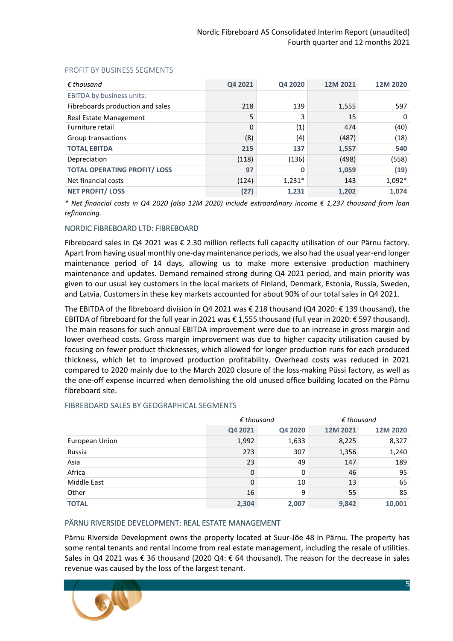| $\epsilon$ thousand                | Q4 2021 | Q4 2020  | 12M 2021 | 12M 2020 |
|------------------------------------|---------|----------|----------|----------|
| EBITDA by business units:          |         |          |          |          |
| Fibreboards production and sales   | 218     | 139      | 1,555    | 597      |
| Real Estate Management             | 5       | 3        | 15       | 0        |
| Furniture retail                   | 0       | (1)      | 474      | (40)     |
| Group transactions                 | (8)     | (4)      | (487)    | (18)     |
| <b>TOTAL EBITDA</b>                | 215     | 137      | 1,557    | 540      |
| Depreciation                       | (118)   | (136)    | (498)    | (558)    |
| <b>TOTAL OPERATING PROFIT/LOSS</b> | 97      | 0        | 1,059    | (19)     |
| Net financial costs                | (124)   | $1,231*$ | 143      | 1,092*   |
| <b>NET PROFIT/LOSS</b>             | (27)    | 1,231    | 1,202    | 1,074    |

#### PROFIT BY BUSINESS SEGMENTS

*\* Net financial costs in Q4 2020 (also 12M 2020) include extraordinary income € 1,237 thousand from loan refinancing.*

#### NORDIC FIBREBOARD LTD: FIBREBOARD

Fibreboard sales in Q4 2021 was € 2.30 million reflects full capacity utilisation of our Pärnu factory. Apart from having usual monthly one-day maintenance periods, we also had the usual year-end longer maintenance period of 14 days, allowing us to make more extensive production machinery maintenance and updates. Demand remained strong during Q4 2021 period, and main priority was given to our usual key customers in the local markets of Finland, Denmark, Estonia, Russia, Sweden, and Latvia. Customers in these key markets accounted for about 90% of our total sales in Q4 2021.

The EBITDA of the fibreboard division in Q4 2021 was € 218 thousand (Q4 2020: € 139 thousand), the EBITDA of fibreboard for the full year in 2021 was € 1,555 thousand (full year in 2020: € 597 thousand). The main reasons for such annual EBITDA improvement were due to an increase in gross margin and lower overhead costs. Gross margin improvement was due to higher capacity utilisation caused by focusing on fewer product thicknesses, which allowed for longer production runs for each produced thickness, which let to improved production profitability. Overhead costs was reduced in 2021 compared to 2020 mainly due to the March 2020 closure of the loss-making Püssi factory, as well as the one-off expense incurred when demolishing the old unused office building located on the Pärnu fibreboard site.

#### FIBREBOARD SALES BY GEOGRAPHICAL SEGMENTS

|                | $\epsilon$ thousand |         | $\epsilon$ thousand |          |
|----------------|---------------------|---------|---------------------|----------|
|                | Q4 2021             | Q4 2020 | 12M 2021            | 12M 2020 |
| European Union | 1,992               | 1,633   | 8,225               | 8,327    |
| Russia         | 273                 | 307     | 1,356               | 1,240    |
| Asia           | 23                  | 49      | 147                 | 189      |
| Africa         | 0                   | 0       | 46                  | 95       |
| Middle East    | 0                   | 10      | 13                  | 65       |
| Other          | 16                  | 9       | 55                  | 85       |
| <b>TOTAL</b>   | 2,304               | 2,007   | 9,842               | 10,001   |

#### PÄRNU RIVERSIDE DEVELOPMENT: REAL ESTATE MANAGEMENT

Pärnu Riverside Development owns the property located at Suur-Jõe 48 in Pärnu. The property has some rental tenants and rental income from real estate management, including the resale of utilities. Sales in Q4 2021 was € 36 thousand (2020 Q4: € 64 thousand). The reason for the decrease in sales revenue was caused by the loss of the largest tenant.

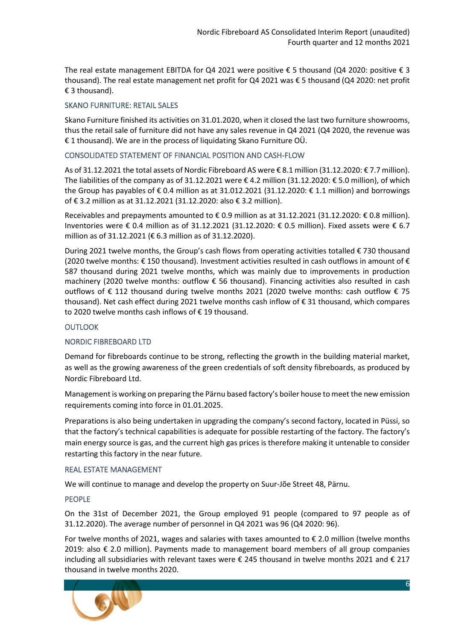The real estate management EBITDA for Q4 2021 were positive  $\epsilon$  5 thousand (Q4 2020: positive  $\epsilon$  3 thousand). The real estate management net profit for Q4 2021 was € 5 thousand (Q4 2020: net profit € 3 thousand).

# SKANO FURNITURE: RETAIL SALES

Skano Furniture finished its activities on 31.01.2020, when it closed the last two furniture showrooms, thus the retail sale of furniture did not have any sales revenue in Q4 2021 (Q4 2020, the revenue was € 1 thousand). We are in the process of liquidating Skano Furniture OÜ.

# CONSOLIDATED STATEMENT OF FINANCIAL POSITION AND CASH-FLOW

As of 31.12.2021 the total assets of Nordic Fibreboard AS were € 8.1 million (31.12.2020: € 7.7 million). The liabilities of the company as of 31.12.2021 were  $\epsilon$  4.2 million (31.12.2020:  $\epsilon$  5.0 million), of which the Group has payables of € 0.4 million as at 31.012.2021 (31.12.2020: € 1.1 million) and borrowings of € 3.2 million as at 31.12.2021 (31.12.2020: also € 3.2 million).

Receivables and prepayments amounted to  $\epsilon$  0.9 million as at 31.12.2021 (31.12.2020:  $\epsilon$  0.8 million). Inventories were € 0.4 million as of 31.12.2021 (31.12.2020: € 0.5 million). Fixed assets were € 6.7 million as of 31.12.2021 (€ 6.3 million as of 31.12.2020).

During 2021 twelve months, the Group's cash flows from operating activities totalled €730 thousand (2020 twelve months: € 150 thousand). Investment activities resulted in cash outflows in amount of € 587 thousand during 2021 twelve months, which was mainly due to improvements in production machinery (2020 twelve months: outflow € 56 thousand). Financing activities also resulted in cash outflows of € 112 thousand during twelve months 2021 (2020 twelve months: cash outflow € 75 thousand). Net cash effect during 2021 twelve months cash inflow of € 31 thousand, which compares to 2020 twelve months cash inflows of € 19 thousand.

# **OUTLOOK**

# NORDIC FIBREBOARD LTD

Demand for fibreboards continue to be strong, reflecting the growth in the building material market, as well as the growing awareness of the green credentials of soft density fibreboards, as produced by Nordic Fibreboard Ltd.

Management is working on preparing the Pärnu based factory's boiler house to meet the new emission requirements coming into force in 01.01.2025.

Preparations is also being undertaken in upgrading the company's second factory, located in Püssi, so that the factory's technical capabilities is adequate for possible restarting of the factory. The factory's main energy source is gas, and the current high gas prices is therefore making it untenable to consider restarting this factory in the near future.

#### REAL ESTATE MANAGEMENT

We will continue to manage and develop the property on Suur-Jõe Street 48, Pärnu.

# PEOPLE

On the 31st of December 2021, the Group employed 91 people (compared to 97 people as of 31.12.2020). The average number of personnel in Q4 2021 was 96 (Q4 2020: 96).

For twelve months of 2021, wages and salaries with taxes amounted to  $\epsilon$  2.0 million (twelve months 2019: also € 2.0 million). Payments made to management board members of all group companies including all subsidiaries with relevant taxes were € 245 thousand in twelve months 2021 and € 217 thousand in twelve months 2020.

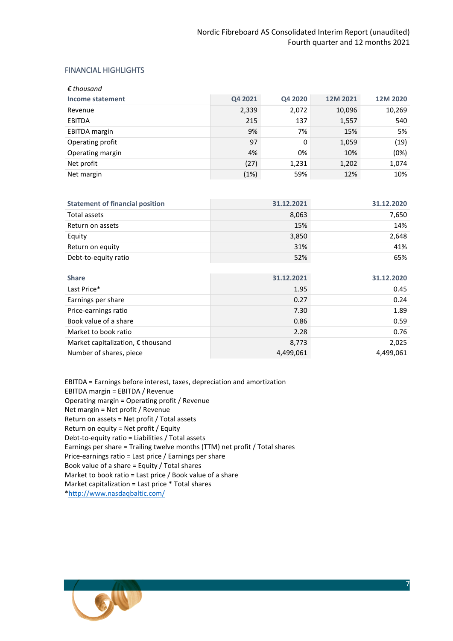#### FINANCIAL HIGHLIGHTS

| $\epsilon$ thousand  |         |         |          |          |
|----------------------|---------|---------|----------|----------|
| Income statement     | Q4 2021 | Q4 2020 | 12M 2021 | 12M 2020 |
| Revenue              | 2,339   | 2,072   | 10,096   | 10,269   |
| <b>EBITDA</b>        | 215     | 137     | 1,557    | 540      |
| <b>EBITDA</b> margin | 9%      | 7%      | 15%      | 5%       |
| Operating profit     | 97      | 0       | 1,059    | (19)     |
| Operating margin     | 4%      | 0%      | 10%      | (0%)     |
| Net profit           | (27)    | 1,231   | 1,202    | 1,074    |
| Net margin           | (1%)    | 59%     | 12%      | 10%      |

| <b>Statement of financial position</b> | 31.12.2021 | 31.12.2020 |
|----------------------------------------|------------|------------|
| Total assets                           | 8,063      | 7.650      |
| Return on assets                       | 15%        | 14%        |
| Equity                                 | 3,850      | 2,648      |
| Return on equity                       | 31%        | 41%        |
| Debt-to-equity ratio                   | 52%        | 65%        |

| <b>Share</b>                               | 31.12.2021 | 31.12.2020 |
|--------------------------------------------|------------|------------|
| Last Price*                                | 1.95       | 0.45       |
| Earnings per share                         | 0.27       | 0.24       |
| Price-earnings ratio                       | 7.30       | 1.89       |
| Book value of a share                      | 0.86       | 0.59       |
| Market to book ratio                       | 2.28       | 0.76       |
| Market capitalization, $\epsilon$ thousand | 8,773      | 2,025      |
| Number of shares, piece                    | 4,499,061  | 4,499,061  |

EBITDA = Earnings before interest, taxes, depreciation and amortization EBITDA margin = EBITDA / Revenue Operating margin = Operating profit / Revenue Net margin = Net profit / Revenue Return on assets = Net profit / Total assets Return on equity = Net profit / Equity Debt-to-equity ratio = Liabilities / Total assets Earnings per share = Trailing twelve months (TTM) net profit / Total shares Price-earnings ratio = Last price / Earnings per share Book value of a share = Equity / Total shares Market to book ratio = Last price / Book value of a share Market capitalization = Last price \* Total shares [\\*http://www.nasdaqbaltic.com/](http://www.nasdaqbaltic.com/)

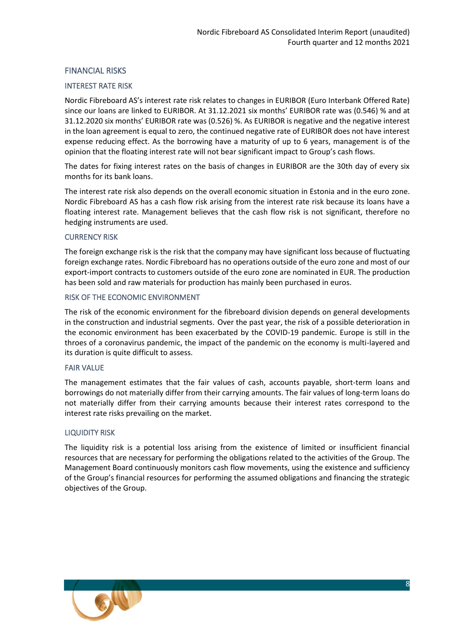### FINANCIAL RISKS

#### INTEREST RATE RISK

Nordic Fibreboard AS's interest rate risk relates to changes in EURIBOR (Euro Interbank Offered Rate) since our loans are linked to EURIBOR. At 31.12.2021 six months' EURIBOR rate was (0.546) % and at 31.12.2020 six months' EURIBOR rate was (0.526) %. As EURIBOR is negative and the negative interest in the loan agreement is equal to zero, the continued negative rate of EURIBOR does not have interest expense reducing effect. As the borrowing have a maturity of up to 6 years, management is of the opinion that the floating interest rate will not bear significant impact to Group's cash flows.

The dates for fixing interest rates on the basis of changes in EURIBOR are the 30th day of every six months for its bank loans.

The interest rate risk also depends on the overall economic situation in Estonia and in the euro zone. Nordic Fibreboard AS has a cash flow risk arising from the interest rate risk because its loans have a floating interest rate. Management believes that the cash flow risk is not significant, therefore no hedging instruments are used.

#### CURRENCY RISK

The foreign exchange risk is the risk that the company may have significant loss because of fluctuating foreign exchange rates. Nordic Fibreboard has no operations outside of the euro zone and most of our export-import contracts to customers outside of the euro zone are nominated in EUR. The production has been sold and raw materials for production has mainly been purchased in euros.

#### RISK OF THE ECONOMIC ENVIRONMENT

The risk of the economic environment for the fibreboard division depends on general developments in the construction and industrial segments. Over the past year, the risk of a possible deterioration in the economic environment has been exacerbated by the COVID-19 pandemic. Europe is still in the throes of a coronavirus pandemic, the impact of the pandemic on the economy is multi-layered and its duration is quite difficult to assess.

#### FAIR VALUE

The management estimates that the fair values of cash, accounts payable, short-term loans and borrowings do not materially differ from their carrying amounts. The fair values of long-term loans do not materially differ from their carrying amounts because their interest rates correspond to the interest rate risks prevailing on the market.

#### LIQUIDITY RISK

The liquidity risk is a potential loss arising from the existence of limited or insufficient financial resources that are necessary for performing the obligations related to the activities of the Group. The Management Board continuously monitors cash flow movements, using the existence and sufficiency of the Group's financial resources for performing the assumed obligations and financing the strategic objectives of the Group.

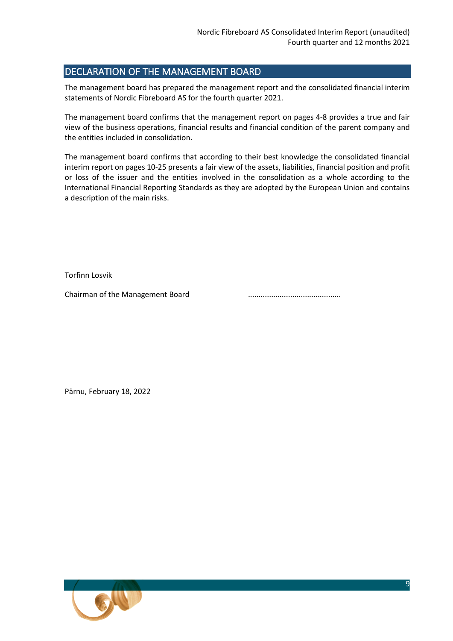# <span id="page-8-0"></span>DECLARATION OF THE MANAGEMENT BOARD

The management board has prepared the management report and the consolidated financial interim statements of Nordic Fibreboard AS for the fourth quarter 2021.

The management board confirms that the management report on pages 4-8 provides a true and fair view of the business operations, financial results and financial condition of the parent company and the entities included in consolidation.

The management board confirms that according to their best knowledge the consolidated financial interim report on pages 10-25 presents a fair view of the assets, liabilities, financial position and profit or loss of the issuer and the entities involved in the consolidation as a whole according to the International Financial Reporting Standards as they are adopted by the European Union and contains a description of the main risks.

Torfinn Losvik

Chairman of the Management Board ............................................

Pärnu, February 18, 2022

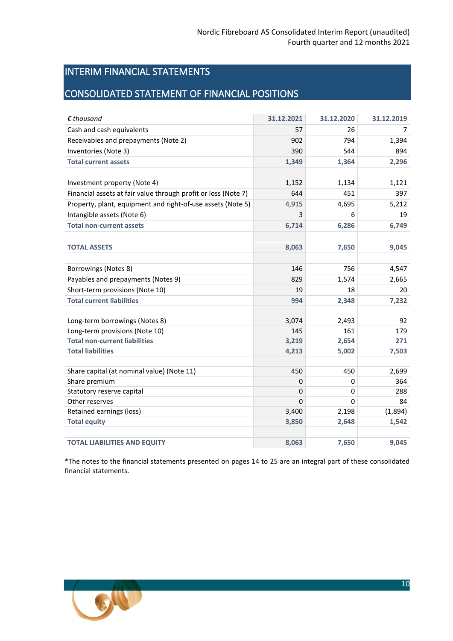# <span id="page-9-0"></span>INTERIM FINANCIAL STATEMENTS

# <span id="page-9-1"></span>CONSOLIDATED STATEMENT OF FINANCIAL POSITIONS

| $\epsilon$ thousand                                            | 31.12.2021  | 31.12.2020  | 31.12.2019 |
|----------------------------------------------------------------|-------------|-------------|------------|
| Cash and cash equivalents                                      | 57          | 26          | 7          |
| Receivables and prepayments (Note 2)                           | 902         | 794         | 1,394      |
| Inventories (Note 3)                                           | 390         | 544         | 894        |
| <b>Total current assets</b>                                    | 1,349       | 1,364       | 2,296      |
|                                                                |             |             |            |
| Investment property (Note 4)                                   | 1,152       | 1,134       | 1,121      |
| Financial assets at fair value through profit or loss (Note 7) | 644         | 451         | 397        |
| Property, plant, equipment and right-of-use assets (Note 5)    | 4,915       | 4,695       | 5,212      |
| Intangible assets (Note 6)                                     | 3           | 6           | 19         |
| <b>Total non-current assets</b>                                | 6,714       | 6,286       | 6,749      |
|                                                                |             |             |            |
| <b>TOTAL ASSETS</b>                                            | 8,063       | 7,650       | 9,045      |
|                                                                |             |             |            |
| Borrowings (Notes 8)                                           | 146         | 756         | 4,547      |
| Payables and prepayments (Notes 9)                             | 829         | 1,574       | 2,665      |
| Short-term provisions (Note 10)                                | 19          | 18          | 20         |
| <b>Total current liabilities</b>                               | 994         | 2,348       | 7,232      |
|                                                                |             |             |            |
| Long-term borrowings (Notes 8)                                 | 3,074       | 2,493       | 92         |
| Long-term provisions (Note 10)                                 | 145         | 161         | 179        |
| <b>Total non-current liabilities</b>                           | 3,219       | 2,654       | 271        |
| <b>Total liabilities</b>                                       | 4,213       | 5,002       | 7,503      |
|                                                                |             |             |            |
| Share capital (at nominal value) (Note 11)                     | 450         | 450         | 2,699      |
| Share premium                                                  | $\pmb{0}$   | 0           | 364        |
| Statutory reserve capital                                      | $\mathbf 0$ | $\mathbf 0$ | 288        |
| Other reserves                                                 | $\Omega$    | $\mathbf 0$ | 84         |
| Retained earnings (loss)                                       | 3,400       | 2,198       | (1,894)    |
| <b>Total equity</b>                                            | 3,850       | 2,648       | 1,542      |
|                                                                |             |             |            |
| <b>TOTAL LIABILITIES AND EQUITY</b>                            | 8,063       | 7,650       | 9,045      |

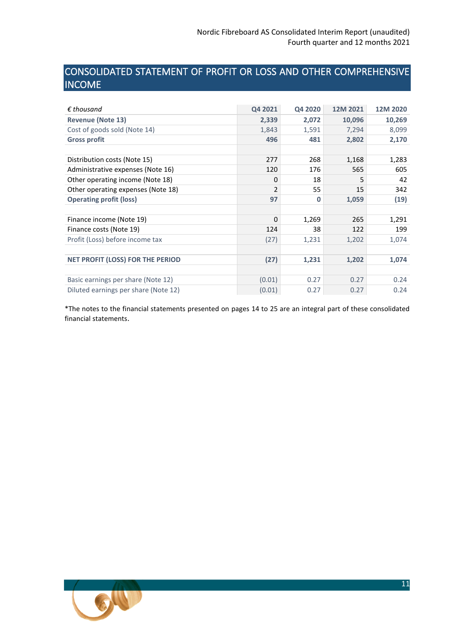# <span id="page-10-0"></span>CONSOLIDATED STATEMENT OF PROFIT OR LOSS AND OTHER COMPREHENSIVE INCOME

| $\epsilon$ thousand                  | Q4 2021        | Q4 2020      | 12M 2021 | 12M 2020 |
|--------------------------------------|----------------|--------------|----------|----------|
| <b>Revenue (Note 13)</b>             | 2,339          | 2,072        | 10,096   | 10,269   |
| Cost of goods sold (Note 14)         | 1,843          | 1,591        | 7,294    | 8,099    |
| <b>Gross profit</b>                  | 496            | 481          | 2,802    | 2,170    |
|                                      |                |              |          |          |
| Distribution costs (Note 15)         | 277            | 268          | 1,168    | 1,283    |
| Administrative expenses (Note 16)    | 120            | 176          | 565      | 605      |
| Other operating income (Note 18)     | 0              | 18           | 5        | 42       |
| Other operating expenses (Note 18)   | $\mathfrak{p}$ | 55           | 15       | 342      |
| <b>Operating profit (loss)</b>       | 97             | $\mathbf{0}$ | 1,059    | (19)     |
|                                      |                |              |          |          |
| Finance income (Note 19)             | 0              | 1,269        | 265      | 1,291    |
| Finance costs (Note 19)              | 124            | 38           | 122      | 199      |
| Profit (Loss) before income tax      | (27)           | 1,231        | 1,202    | 1,074    |
|                                      |                |              |          |          |
| NET PROFIT (LOSS) FOR THE PERIOD     | (27)           | 1,231        | 1,202    | 1,074    |
|                                      |                |              |          |          |
| Basic earnings per share (Note 12)   | (0.01)         | 0.27         | 0.27     | 0.24     |
| Diluted earnings per share (Note 12) | (0.01)         | 0.27         | 0.27     | 0.24     |

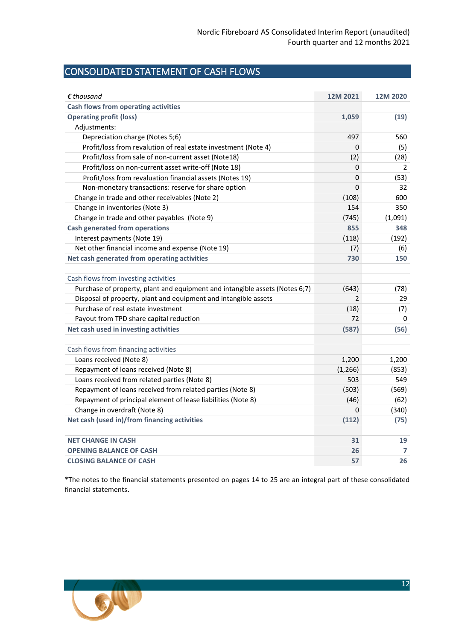# <span id="page-11-0"></span>CONSOLIDATED STATEMENT OF CASH FLOWS

| $\epsilon$ thousand                                                         | 12M 2021       | 12M 2020      |
|-----------------------------------------------------------------------------|----------------|---------------|
| <b>Cash flows from operating activities</b>                                 |                |               |
| <b>Operating profit (loss)</b>                                              | 1,059          | (19)          |
| Adjustments:                                                                |                |               |
| Depreciation charge (Notes 5;6)                                             | 497            | 560           |
| Profit/loss from revalution of real estate investment (Note 4)              | 0              | (5)           |
| Profit/loss from sale of non-current asset (Note18)                         | (2)            | (28)          |
| Profit/loss on non-current asset write-off (Note 18)                        | 0              | $\mathcal{P}$ |
| Profit/loss from revaluation financial assets (Notes 19)                    | 0              | (53)          |
| Non-monetary transactions: reserve for share option                         | $\overline{0}$ | 32            |
| Change in trade and other receivables (Note 2)                              | (108)          | 600           |
| Change in inventories (Note 3)                                              | 154            | 350           |
| Change in trade and other payables (Note 9)                                 | (745)          | (1,091)       |
| <b>Cash generated from operations</b>                                       | 855            | 348           |
| Interest payments (Note 19)                                                 | (118)          | (192)         |
| Net other financial income and expense (Note 19)                            | (7)            | (6)           |
| Net cash generated from operating activities                                | 730            | 150           |
|                                                                             |                |               |
| Cash flows from investing activities                                        |                |               |
| Purchase of property, plant and equipment and intangible assets (Notes 6;7) | (643)          | (78)          |
| Disposal of property, plant and equipment and intangible assets             | 2              | 29            |
| Purchase of real estate investment                                          | (18)           | (7)           |
| Payout from TPD share capital reduction                                     | 72             | 0             |
| Net cash used in investing activities                                       | (587)          | (56)          |
|                                                                             |                |               |
| Cash flows from financing activities                                        |                |               |
| Loans received (Note 8)                                                     | 1,200          | 1,200         |
| Repayment of loans received (Note 8)                                        | (1, 266)       | (853)         |
| Loans received from related parties (Note 8)                                | 503            | 549           |
| Repayment of loans received from related parties (Note 8)                   | (503)          | (569)         |
| Repayment of principal element of lease liabilities (Note 8)                | (46)           | (62)          |
| Change in overdraft (Note 8)                                                | 0              | (340)         |
| Net cash (used in)/from financing activities                                | (112)          | (75)          |
|                                                                             |                |               |
| <b>NET CHANGE IN CASH</b>                                                   | 31             | 19            |
| <b>OPENING BALANCE OF CASH</b>                                              | 26             | 7             |
| <b>CLOSING BALANCE OF CASH</b>                                              | 57             | 26            |

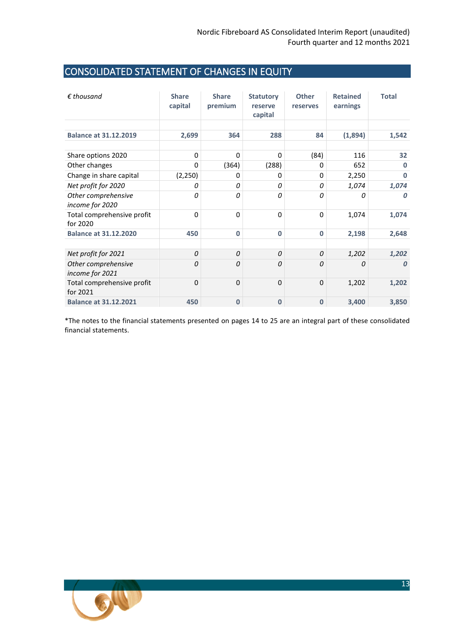# <span id="page-12-0"></span>CONSOLIDATED STATEMENT OF CHANGES IN EQUITY

| $\epsilon$ thousand                            | <b>Share</b><br>capital | <b>Share</b><br>premium | <b>Statutory</b><br>reserve<br>capital | Other<br>reserves | <b>Retained</b><br>earnings | <b>Total</b>  |
|------------------------------------------------|-------------------------|-------------------------|----------------------------------------|-------------------|-----------------------------|---------------|
| <b>Balance at 31.12.2019</b>                   | 2,699                   | 364                     | 288                                    | 84                | (1,894)                     | 1,542         |
| Share options 2020                             | 0                       | $\Omega$                | $\Omega$                               | (84)              | 116                         | 32            |
| Other changes                                  | 0                       | (364)<br>0              | (288)<br>0                             | 0<br>0            | 652                         | O<br>$\bf{0}$ |
| Change in share capital<br>Net profit for 2020 | (2, 250)<br>0           | 0                       | 0                                      | 0                 | 2,250<br>1,074              | 1,074         |
| Other comprehensive<br>income for 2020         | 0                       | 0                       | 0                                      | 0                 | Ω                           | O             |
| Total comprehensive profit<br>for 2020         | $\mathbf 0$             | $\mathbf 0$             | $\mathbf 0$                            | $\mathbf 0$       | 1,074                       | 1,074         |
| <b>Balance at 31.12.2020</b>                   | 450                     | $\mathbf{0}$            | $\mathbf 0$                            | $\mathbf{0}$      | 2,198                       | 2,648         |
|                                                |                         |                         |                                        |                   |                             |               |
| Net profit for 2021                            | 0                       | 0                       | 0                                      | 0                 | 1,202                       | 1,202         |
| Other comprehensive<br>income for 2021         | 0                       | 0                       | 0                                      | 0                 | 0                           | 0             |
| Total comprehensive profit<br>for 2021         | 0                       | $\Omega$                | $\Omega$                               | $\Omega$          | 1,202                       | 1,202         |
| <b>Balance at 31.12.2021</b>                   | 450                     | $\bf{0}$                | $\bf{0}$                               | $\bf{0}$          | 3,400                       | 3,850         |

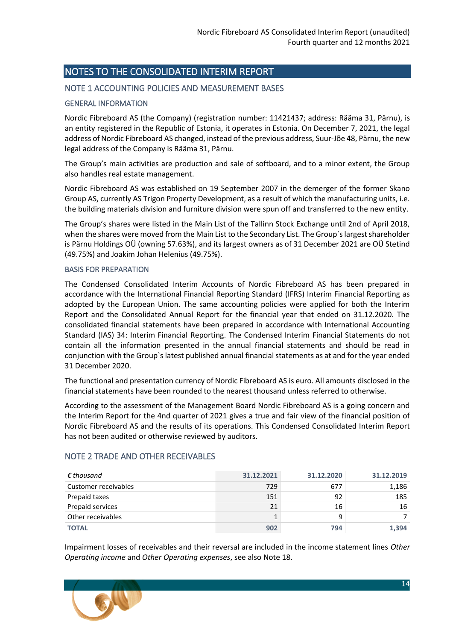# <span id="page-13-0"></span>NOTES TO THE CONSOLIDATED INTERIM REPORT

# <span id="page-13-1"></span>NOTE 1 ACCOUNTING POLICIES AND MEASUREMENT BASES

#### GENERAL INFORMATION

Nordic Fibreboard AS (the Company) (registration number: 11421437; address: Rääma 31, Pärnu), is an entity registered in the Republic of Estonia, it operates in Estonia. On December 7, 2021, the legal address of Nordic Fibreboard AS changed, instead of the previous address, Suur-Jõe 48, Pärnu, the new legal address of the Company is Rääma 31, Pärnu.

The Group's main activities are production and sale of softboard, and to a minor extent, the Group also handles real estate management.

Nordic Fibreboard AS was established on 19 September 2007 in the demerger of the former Skano Group AS, currently AS Trigon Property Development, as a result of which the manufacturing units, i.e. the building materials division and furniture division were spun off and transferred to the new entity.

The Group's shares were listed in the Main List of the Tallinn Stock Exchange until 2nd of April 2018, when the shares were moved from the Main List to the Secondary List. The Group`s largest shareholder is Pärnu Holdings OÜ (owning 57.63%), and its largest owners as of 31 December 2021 are OÜ Stetind (49.75%) and Joakim Johan Helenius (49.75%).

#### BASIS FOR PREPARATION

The Condensed Consolidated Interim Accounts of Nordic Fibreboard AS has been prepared in accordance with the International Financial Reporting Standard (IFRS) Interim Financial Reporting as adopted by the European Union. The same accounting policies were applied for both the Interim Report and the Consolidated Annual Report for the financial year that ended on 31.12.2020. The consolidated financial statements have been prepared in accordance with International Accounting Standard (IAS) 34: Interim Financial Reporting. The Condensed Interim Financial Statements do not contain all the information presented in the annual financial statements and should be read in conjunction with the Group`s latest published annual financial statements as at and for the year ended 31 December 2020.

The functional and presentation currency of Nordic Fibreboard AS is euro. All amounts disclosed in the financial statements have been rounded to the nearest thousand unless referred to otherwise.

According to the assessment of the Management Board Nordic Fibreboard AS is a going concern and the Interim Report for the 4nd quarter of 2021 gives a true and fair view of the financial position of Nordic Fibreboard AS and the results of its operations. This Condensed Consolidated Interim Report has not been audited or otherwise reviewed by auditors.

| $\epsilon$ thousand  | 31.12.2021 | 31.12.2020 | 31.12.2019 |
|----------------------|------------|------------|------------|
| Customer receivables | 729        | 677        | 1,186      |
| Prepaid taxes        | 151        | 92         | 185        |
| Prepaid services     | 21         | 16         | 16         |
| Other receivables    |            | 9          |            |
| <b>TOTAL</b>         | 902        | 794        | 1.394      |

#### <span id="page-13-2"></span>NOTE 2 TRADE AND OTHER RECEIVABLES

Impairment losses of receivables and their reversal are included in the income statement lines *Other Operating income* and *Other Operating expenses*, see also Note 18.

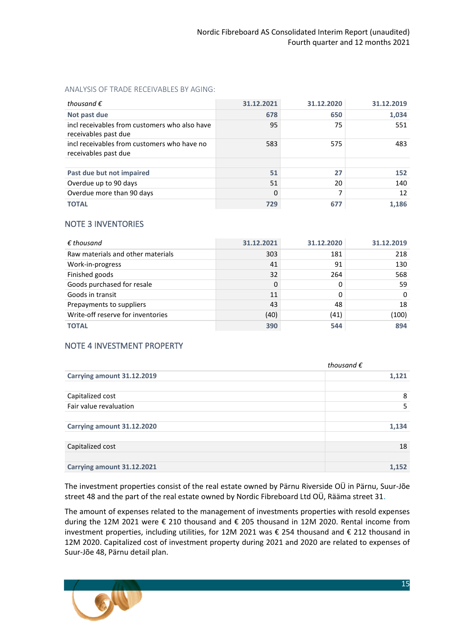#### ANALYSIS OF TRADE RECEIVABLES BY AGING:

<span id="page-14-0"></span>

| thousand $\epsilon$                                                   | 31.12.2021 | 31.12.2020 | 31.12.2019 |
|-----------------------------------------------------------------------|------------|------------|------------|
| Not past due                                                          | 678        | 650        | 1,034      |
| incl receivables from customers who also have<br>receivables past due | 95         | 75         | 551        |
| incl receivables from customers who have no<br>receivables past due   | 583        | 575        | 483        |
|                                                                       |            |            |            |
| Past due but not impaired                                             | 51         | 27         | 152        |
| Overdue up to 90 days                                                 | 51         | 20         | 140        |
| Overdue more than 90 days                                             | 0          |            | 12         |
| <b>TOTAL</b>                                                          | 729        | 677        | 1.186      |

### NOTE 3 INVENTORIES

<span id="page-14-1"></span>

| $\epsilon$ thousand               | 31.12.2021 | 31.12.2020 | 31.12.2019 |
|-----------------------------------|------------|------------|------------|
| Raw materials and other materials | 303        | 181        | 218        |
| Work-in-progress                  | 41         | 91         | 130        |
| Finished goods                    | 32         | 264        | 568        |
| Goods purchased for resale        | 0          |            | 59         |
| Goods in transit                  | 11         |            | $\Omega$   |
| Prepayments to suppliers          | 43         | 48         | 18         |
| Write-off reserve for inventories | (40)       | (41)       | (100)      |
| <b>TOTAL</b>                      | 390        | 544        | 894        |

# NOTE 4 INVESTMENT PROPERTY

|                            | thousand $\epsilon$ |
|----------------------------|---------------------|
| Carrying amount 31.12.2019 | 1,121               |
| Capitalized cost           | 8                   |
| Fair value revaluation     | 5                   |
| Carrying amount 31.12.2020 | 1,134               |
| Capitalized cost           | 18                  |
| Carrying amount 31.12.2021 | 1,152               |

The investment properties consist of the real estate owned by Pärnu Riverside OÜ in Pärnu, Suur-Jõe street 48 and the part of the real estate owned by Nordic Fibreboard Ltd OÜ, Rääma street 31.

The amount of expenses related to the management of investments properties with resold expenses during the 12M 2021 were € 210 thousand and € 205 thousand in 12M 2020. Rental income from investment properties, including utilities, for 12M 2021 was € 254 thousand and € 212 thousand in 12M 2020. Capitalized cost of investment property during 2021 and 2020 are related to expenses of Suur-Jõe 48, Pärnu detail plan.

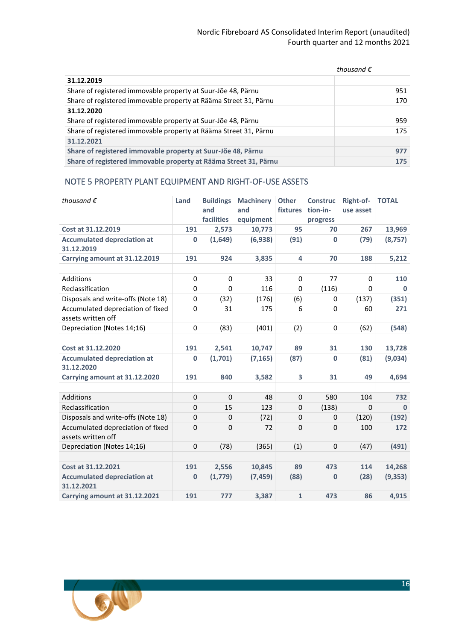# Nordic Fibreboard AS Consolidated Interim Report (unaudited) Fourth quarter and 12 months 2021

|                                                                  | thousand $\epsilon$ |
|------------------------------------------------------------------|---------------------|
| 31.12.2019                                                       |                     |
| Share of registered immovable property at Suur-Jõe 48, Pärnu     | 951                 |
| Share of registered immovable property at Rääma Street 31, Pärnu | 170                 |
| 31.12.2020                                                       |                     |
| Share of registered immovable property at Suur-Jõe 48, Pärnu     | 959                 |
| Share of registered immovable property at Rääma Street 31, Pärnu | 175                 |
| 31.12.2021                                                       |                     |
| Share of registered immovable property at Suur-Jõe 48, Pärnu     | 977                 |
| Share of registered immovable property at Rääma Street 31, Pärnu | 175                 |

# <span id="page-15-0"></span>NOTE 5 PROPERTY PLANT EQUIPMENT AND RIGHT-OF-USE ASSETS

| thousand $\epsilon$                                     | Land         | <b>Buildings</b><br>and<br>facilities | <b>Machinery</b><br>and<br>equipment | <b>Other</b><br><b>fixtures</b> | <b>Construc</b><br>tion-in-<br>progress | Right-of-<br>use asset | <b>TOTAL</b> |
|---------------------------------------------------------|--------------|---------------------------------------|--------------------------------------|---------------------------------|-----------------------------------------|------------------------|--------------|
| Cost at 31.12.2019                                      | 191          | 2,573                                 | 10,773                               | 95                              | 70                                      | 267                    | 13,969       |
| <b>Accumulated depreciation at</b><br>31.12.2019        | $\bf{0}$     | (1,649)                               | (6,938)                              | (91)                            | 0                                       | (79)                   | (8, 757)     |
| Carrying amount at 31.12.2019                           | 191          | 924                                   | 3,835                                | 4                               | 70                                      | 188                    | 5,212        |
|                                                         |              |                                       |                                      |                                 |                                         |                        |              |
| <b>Additions</b>                                        | 0            | $\Omega$                              | 33                                   | $\Omega$                        | 77                                      | $\Omega$               | 110          |
| Reclassification                                        | $\mathbf 0$  | 0                                     | 116                                  | 0                               | (116)                                   | 0                      | O            |
| Disposals and write-offs (Note 18)                      | 0            | (32)                                  | (176)                                | (6)                             | $\Omega$                                | (137)                  | (351)        |
| Accumulated depreciation of fixed<br>assets written off | 0            | 31                                    | 175                                  | 6                               | $\Omega$                                | 60                     | 271          |
| Depreciation (Notes 14;16)                              | $\Omega$     | (83)                                  | (401)                                | (2)                             | $\Omega$                                | (62)                   | (548)        |
|                                                         |              |                                       |                                      |                                 |                                         |                        |              |
| Cost at 31.12.2020                                      | 191          | 2,541                                 | 10,747                               | 89                              | 31                                      | 130                    | 13,728       |
| <b>Accumulated depreciation at</b><br>31.12.2020        | $\mathbf{0}$ | (1,701)                               | (7, 165)                             | (87)                            | 0                                       | (81)                   | (9,034)      |
| Carrying amount at 31.12.2020                           | 191          | 840                                   | 3,582                                | 3                               | 31                                      | 49                     | 4,694        |
|                                                         |              |                                       |                                      |                                 |                                         |                        |              |
| <b>Additions</b>                                        | $\mathbf 0$  | $\Omega$                              | 48                                   | $\overline{0}$                  | 580                                     | 104                    | 732          |
| Reclassification                                        | $\Omega$     | 15                                    | 123                                  | 0                               | (138)                                   | $\Omega$               | $\bf{0}$     |
| Disposals and write-offs (Note 18)                      | $\mathbf 0$  | $\mathbf 0$                           | (72)                                 | $\Omega$                        | 0                                       | (120)                  | (192)        |
| Accumulated depreciation of fixed<br>assets written off | $\Omega$     | $\mathbf{0}$                          | 72                                   | $\mathbf 0$                     | $\Omega$                                | 100                    | 172          |
| Depreciation (Notes 14;16)                              | $\mathbf 0$  | (78)                                  | (365)                                | (1)                             | $\Omega$                                | (47)                   | (491)        |
|                                                         |              |                                       |                                      |                                 |                                         |                        |              |
| Cost at 31.12.2021                                      | 191          | 2,556                                 | 10,845                               | 89                              | 473                                     | 114                    | 14,268       |
| <b>Accumulated depreciation at</b><br>31.12.2021        | $\mathbf{0}$ | (1,779)                               | (7, 459)                             | (88)                            | $\bf{0}$                                | (28)                   | (9, 353)     |
| Carrying amount at 31.12.2021                           | 191          | 777                                   | 3,387                                | $\mathbf{1}$                    | 473                                     | 86                     | 4.915        |

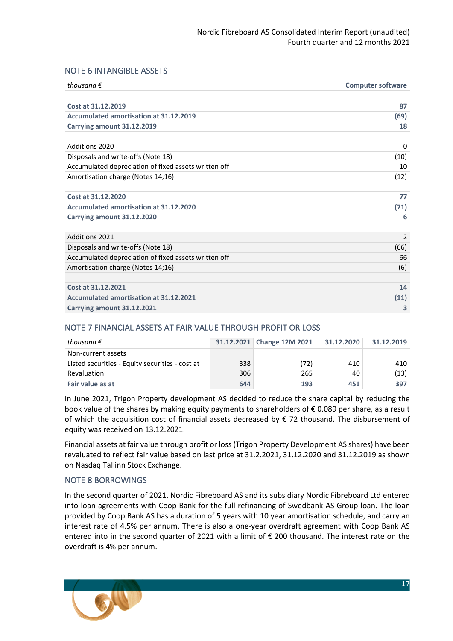### <span id="page-16-0"></span>NOTE 6 INTANGIBLE ASSETS

<span id="page-16-1"></span>

| thousand $\epsilon$                                  | <b>Computer software</b> |
|------------------------------------------------------|--------------------------|
|                                                      |                          |
| Cost at 31.12.2019                                   | 87                       |
| Accumulated amortisation at 31.12.2019               | (69)                     |
| Carrying amount 31.12.2019                           | 18                       |
| Additions 2020                                       | 0                        |
| Disposals and write-offs (Note 18)                   | (10)                     |
| Accumulated depreciation of fixed assets written off | 10                       |
| Amortisation charge (Notes 14;16)                    | (12)                     |
| Cost at 31.12.2020                                   | 77                       |
| <b>Accumulated amortisation at 31.12.2020</b>        | (71)                     |
| Carrying amount 31.12.2020                           | 6                        |
| Additions 2021                                       | 2                        |
| Disposals and write-offs (Note 18)                   | (66)                     |
| Accumulated depreciation of fixed assets written off | 66                       |
| Amortisation charge (Notes 14;16)                    | (6)                      |
|                                                      |                          |
| Cost at 31.12.2021                                   | 14                       |
| <b>Accumulated amortisation at 31.12.2021</b>        | (11)                     |
| Carrying amount 31.12.2021                           | 3                        |

# NOTE 7 FINANCIAL ASSETS AT FAIR VALUE THROUGH PROFIT OR LOSS

| thousand $\epsilon$                             |     | 31.12.2021 Change 12M 2021 | 31.12.2020 | 31.12.2019 |
|-------------------------------------------------|-----|----------------------------|------------|------------|
| Non-current assets                              |     |                            |            |            |
| Listed securities - Equity securities - cost at | 338 | (72)                       | 410        | 410        |
| Revaluation                                     | 306 | 265                        | 40         | (13)       |
| Fair value as at                                | 644 | 193                        | 451        | 397        |

In June 2021, Trigon Property development AS decided to reduce the share capital by reducing the book value of the shares by making equity payments to shareholders of € 0.089 per share, as a result of which the acquisition cost of financial assets decreased by  $\epsilon$  72 thousand. The disbursement of equity was received on 13.12.2021.

Financial assets at fair value through profit or loss (Trigon Property Development AS shares) have been revaluated to reflect fair value based on last price at 31.2.2021, 31.12.2020 and 31.12.2019 as shown on Nasdaq Tallinn Stock Exchange.

# <span id="page-16-2"></span>NOTE 8 BORROWINGS

In the second quarter of 2021, Nordic Fibreboard AS and its subsidiary Nordic Fibreboard Ltd entered into loan agreements with Coop Bank for the full refinancing of Swedbank AS Group loan. The loan provided by Coop Bank AS has a duration of 5 years with 10 year amortisation schedule, and carry an interest rate of 4.5% per annum. There is also a one-year overdraft agreement with Coop Bank AS entered into in the second quarter of 2021 with a limit of € 200 thousand. The interest rate on the overdraft is 4% per annum.

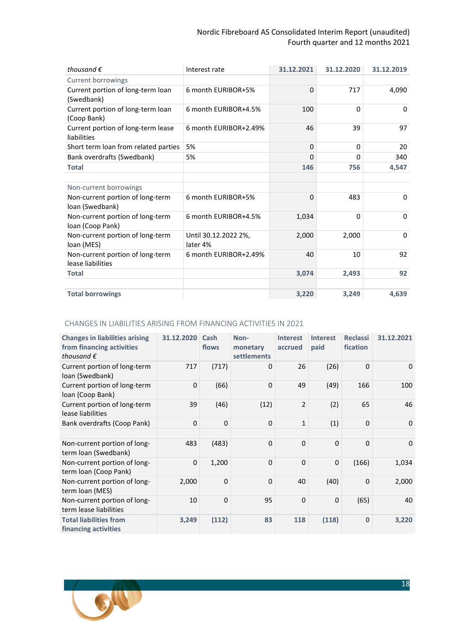# Nordic Fibreboard AS Consolidated Interim Report (unaudited) Fourth quarter and 12 months 2021

| thousand $\epsilon$                                   | Interest rate                    | 31.12.2021 | 31.12.2020 | 31.12.2019   |
|-------------------------------------------------------|----------------------------------|------------|------------|--------------|
| <b>Current borrowings</b>                             |                                  |            |            |              |
| Current portion of long-term loan<br>(Swedbank)       | 6 month EURIBOR+5%               | 0          | 717        | 4,090        |
| Current portion of long-term loan<br>(Coop Bank)      | 6 month EURIBOR+4.5%             | 100        | 0          | 0            |
| Current portion of long-term lease<br>liabilities     | 6 month EURIBOR+2.49%            | 46         | 39         | 97           |
| Short term loan from related parties                  | 5%                               | 0          | 0          | 20           |
| Bank overdrafts (Swedbank)                            | 5%                               | 0          | ŋ          | 340          |
| <b>Total</b>                                          |                                  | 146        | 756        | 4,547        |
|                                                       |                                  |            |            |              |
| Non-current borrowings                                |                                  |            |            |              |
| Non-current portion of long-term<br>loan (Swedbank)   | 6 month EURIBOR+5%               | 0          | 483        | $\mathbf{0}$ |
| Non-current portion of long-term<br>loan (Coop Pank)  | 6 month EURIBOR+4.5%             | 1,034      | $\Omega$   | $\Omega$     |
| Non-current portion of long-term<br>loan (MES)        | Until 30.12.2022 2%,<br>later 4% | 2,000      | 2,000      | $\mathbf{0}$ |
| Non-current portion of long-term<br>lease liabilities | 6 month EURIBOR+2.49%            | 40         | 10         | 92           |
| <b>Total</b>                                          |                                  | 3,074      | 2,493      | 92           |
|                                                       |                                  |            |            |              |
| <b>Total borrowings</b>                               |                                  | 3,220      | 3,249      | 4,639        |

### CHANGES IN LIABILITIES ARISING FROM FINANCING ACTIVITIES IN 2021

| <b>Changes in liabilities arising</b><br>from financing activities<br>thousand $\epsilon$ | 31.12.2020  | Cash<br>flows | Non-<br>monetary<br><b>settlements</b> | <b>Interest</b><br>accrued | <b>Interest</b><br>paid | <b>Reclassi</b><br>fication | 31.12.2021  |
|-------------------------------------------------------------------------------------------|-------------|---------------|----------------------------------------|----------------------------|-------------------------|-----------------------------|-------------|
| Current portion of long-term<br>loan (Swedbank)                                           | 717         | (717)         | 0                                      | 26                         | (26)                    | $\Omega$                    | $\Omega$    |
| Current portion of long-term<br>loan (Coop Bank)                                          | $\mathbf 0$ | (66)          | $\Omega$                               | 49                         | (49)                    | 166                         | 100         |
| Current portion of long-term<br>lease liabilities                                         | 39          | (46)          | (12)                                   | $\overline{2}$             | (2)                     | 65                          | 46          |
| Bank overdrafts (Coop Pank)                                                               | $\mathbf 0$ | $\Omega$      | 0                                      | $\mathbf{1}$               | (1)                     | $\Omega$                    | $\mathbf 0$ |
| Non-current portion of long-<br>term loan (Swedbank)                                      | 483         | (483)         | $\mathbf 0$                            | $\Omega$                   | $\Omega$                | $\Omega$                    | $\mathbf 0$ |
| Non-current portion of long-<br>term Ioan (Coop Pank)                                     | $\Omega$    | 1,200         | $\Omega$                               | $\Omega$                   | $\Omega$                | (166)                       | 1,034       |
| Non-current portion of long-<br>term loan (MES)                                           | 2,000       | $\mathbf 0$   | $\mathbf 0$                            | 40                         | (40)                    | $\Omega$                    | 2,000       |
| Non-current portion of long-<br>term lease liabilities                                    | 10          | $\Omega$      | 95                                     | $\Omega$                   | $\Omega$                | (65)                        | 40          |
| <b>Total liabilities from</b><br>financing activities                                     | 3,249       | (112)         | 83                                     | 118                        | (118)                   | $\mathbf{0}$                | 3,220       |

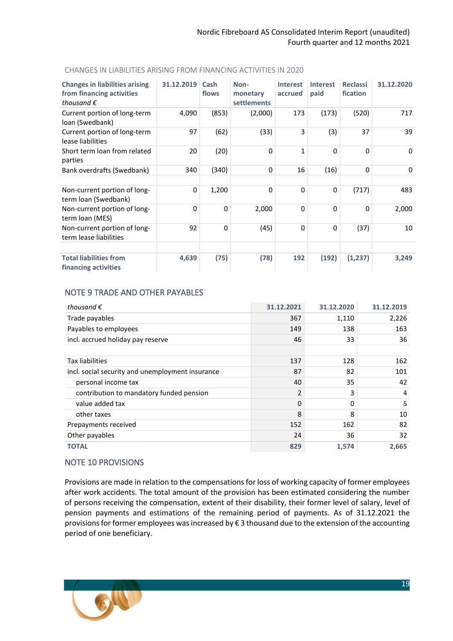| <b>Changes in liabilities arising</b><br>from financing activities<br>thousand $\epsilon$ | 31.12.2019 | Cash<br>flows | Non-<br>monetary<br><b>settlements</b> | <b>Interest</b><br>accrued | <b>Interest</b><br>paid | <b>Reclassi</b><br>fication | 31.12.2020   |
|-------------------------------------------------------------------------------------------|------------|---------------|----------------------------------------|----------------------------|-------------------------|-----------------------------|--------------|
| Current portion of long-term<br>loan (Swedbank)                                           | 4,090      | (853)         | (2,000)                                | 173                        | (173)                   | (520)                       | 717          |
| Current portion of long-term<br>lease liabilities                                         | 97         | (62)          | (33)                                   | 3                          | (3)                     | 37                          | 39           |
| Short term loan from related<br>parties                                                   | 20         | (20)          | 0                                      | 1                          | $\Omega$                | 0                           | $\mathbf{0}$ |
| Bank overdrafts (Swedbank)                                                                | 340        | (340)         | 0                                      | 16                         | (16)                    | 0                           | 0            |
| Non-current portion of long-<br>term loan (Swedbank)                                      | $\Omega$   | 1,200         | 0                                      | $\Omega$                   | $\Omega$                | (717)                       | 483          |
| Non-current portion of long-<br>term loan (MES)                                           | $\Omega$   | $\Omega$      | 2,000                                  | $\Omega$                   | $\Omega$                | 0                           | 2,000        |
| Non-current portion of long-<br>term lease liabilities                                    | 92         | $\mathbf 0$   | (45)                                   | 0                          | $\Omega$                | (37)                        | 10           |
| <b>Total liabilities from</b><br>financing activities                                     | 4,639      | (75)          | (78)                                   | 192                        | (192)                   | (1,237)                     | 3,249        |

# <span id="page-18-0"></span>NOTE 9 TRADE AND OTHER PAYABLES

| thousand $\epsilon$                              | 31.12.2021 | 31.12.2020 | 31.12.2019 |
|--------------------------------------------------|------------|------------|------------|
| Trade payables                                   | 367        | 1,110      | 2,226      |
| Payables to employees                            | 149        | 138        | 163        |
| incl. accrued holiday pay reserve                | 46         | 33         | 36         |
|                                                  |            |            |            |
| <b>Tax liabilities</b>                           | 137        | 128        | 162        |
| incl. social security and unemployment insurance | 87         | 82         | 101        |
| personal income tax                              | 40         | 35         | 42         |
| contribution to mandatory funded pension         | 2          | 3          | 4          |
| value added tax                                  | $\Omega$   | 0          | 5          |
| other taxes                                      | 8          | 8          | 10         |
| Prepayments received                             | 152        | 162        | 82         |
| Other payables                                   | 24         | 36         | 32         |
| <b>TOTAL</b>                                     | 829        | 1,574      | 2,665      |

# <span id="page-18-1"></span>NOTE 10 PROVISIONS

Provisions are made in relation to the compensations for loss of working capacity of former employees after work accidents. The total amount of the provision has been estimated considering the number of persons receiving the compensation, extent of their disability, their former level of salary, level of pension payments and estimations of the remaining period of payments. As of 31.12.2021 the provisions for former employees was increased by € 3 thousand due to the extension of the accounting period of one beneficiary.

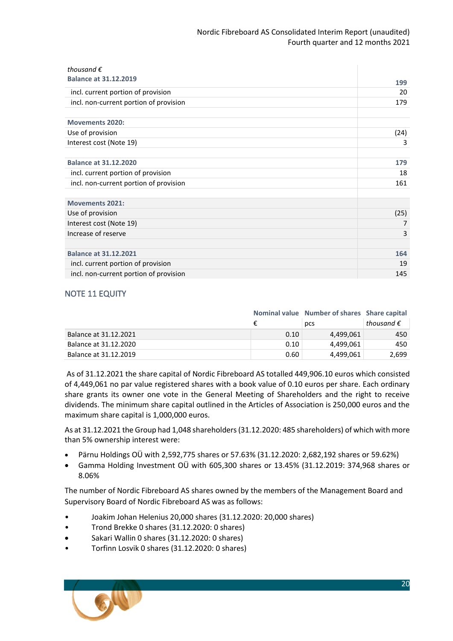# Nordic Fibreboard AS Consolidated Interim Report (unaudited) Fourth quarter and 12 months 2021

<span id="page-19-0"></span>

| thousand $\epsilon$                    |      |
|----------------------------------------|------|
| <b>Balance at 31.12.2019</b>           | 199  |
| incl. current portion of provision     | 20   |
| incl. non-current portion of provision | 179  |
| <b>Movements 2020:</b>                 |      |
| Use of provision                       | (24) |
| Interest cost (Note 19)                | 3    |
| <b>Balance at 31.12.2020</b>           | 179  |
| incl. current portion of provision     | 18   |
| incl. non-current portion of provision | 161  |
| <b>Movements 2021:</b>                 |      |
| Use of provision                       | (25) |
| Interest cost (Note 19)                | 7    |
| Increase of reserve                    | 3    |
| <b>Balance at 31.12.2021</b>           | 164  |
| incl. current portion of provision     | 19   |
| incl. non-current portion of provision | 145  |

# NOTE 11 EQUITY

|                       |      | Nominal value Number of shares Share capital |                     |
|-----------------------|------|----------------------------------------------|---------------------|
|                       |      | pcs                                          | thousand $\epsilon$ |
| Balance at 31.12.2021 | 0.10 | 4,499,061                                    | 450                 |
| Balance at 31.12.2020 | 0.10 | 4,499,061                                    | 450                 |
| Balance at 31.12.2019 | 0.60 | 4,499,061                                    | 2.699               |

As of 31.12.2021 the share capital of Nordic Fibreboard AS totalled 449,906.10 euros which consisted of 4,449,061 no par value registered shares with a book value of 0.10 euros per share. Each ordinary share grants its owner one vote in the General Meeting of Shareholders and the right to receive dividends. The minimum share capital outlined in the Articles of Association is 250,000 euros and the maximum share capital is 1,000,000 euros.

As at 31.12.2021 the Group had 1,048 shareholders (31.12.2020: 485 shareholders) of which with more than 5% ownership interest were:

- Pärnu Holdings OÜ with 2,592,775 shares or 57.63% (31.12.2020: 2,682,192 shares or 59.62%)
- Gamma Holding Investment OÜ with 605,300 shares or 13.45% (31.12.2019: 374,968 shares or 8.06%

The number of Nordic Fibreboard AS shares owned by the members of the Management Board and Supervisory Board of Nordic Fibreboard AS was as follows:

- Joakim Johan Helenius 20,000 shares (31.12.2020: 20,000 shares)
- Trond Brekke 0 shares (31.12.2020: 0 shares)
- Sakari Wallin 0 shares (31.12.2020: 0 shares)
- Torfinn Losvik 0 shares (31.12.2020: 0 shares)

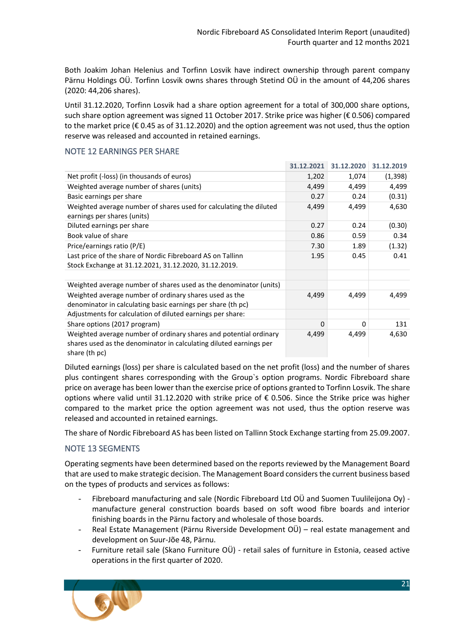Both Joakim Johan Helenius and Torfinn Losvik have indirect ownership through parent company Pärnu Holdings OÜ. Torfinn Losvik owns shares through Stetind OÜ in the amount of 44,206 shares (2020: 44,206 shares).

Until 31.12.2020, Torfinn Losvik had a share option agreement for a total of 300,000 share options, such share option agreement was signed 11 October 2017. Strike price was higher (€ 0.506) compared to the market price (€ 0.45 as of 31.12.2020) and the option agreement was not used, thus the option reserve was released and accounted in retained earnings.

# <span id="page-20-0"></span>NOTE 12 EARNINGS PER SHARE

|                                                                                                                                                          | 31.12.2021 | 31.12.2020 | 31.12.2019 |
|----------------------------------------------------------------------------------------------------------------------------------------------------------|------------|------------|------------|
| Net profit (-loss) (in thousands of euros)                                                                                                               | 1,202      | 1,074      | (1, 398)   |
| Weighted average number of shares (units)                                                                                                                | 4,499      | 4,499      | 4,499      |
| Basic earnings per share                                                                                                                                 | 0.27       | 0.24       | (0.31)     |
| Weighted average number of shares used for calculating the diluted<br>earnings per shares (units)                                                        | 4,499      | 4,499      | 4,630      |
| Diluted earnings per share                                                                                                                               | 0.27       | 0.24       | (0.30)     |
| Book value of share                                                                                                                                      | 0.86       | 0.59       | 0.34       |
| Price/earnings ratio (P/E)                                                                                                                               | 7.30       | 1.89       | (1.32)     |
| Last price of the share of Nordic Fibreboard AS on Tallinn<br>Stock Exchange at 31.12.2021, 31.12.2020, 31.12.2019.                                      | 1.95       | 0.45       | 0.41       |
| Weighted average number of shares used as the denominator (units)                                                                                        |            |            |            |
| Weighted average number of ordinary shares used as the<br>denominator in calculating basic earnings per share (th pc)                                    | 4,499      | 4,499      | 4,499      |
| Adjustments for calculation of diluted earnings per share:                                                                                               |            |            |            |
| Share options (2017 program)                                                                                                                             | $\Omega$   | 0          | 131        |
| Weighted average number of ordinary shares and potential ordinary<br>shares used as the denominator in calculating diluted earnings per<br>share (th pc) | 4,499      | 4,499      | 4,630      |

Diluted earnings (loss) per share is calculated based on the net profit (loss) and the number of shares plus contingent shares corresponding with the Group`s option programs. Nordic Fibreboard share price on average has been lower than the exercise price of options granted to Torfinn Losvik. The share options where valid until 31.12.2020 with strike price of € 0.506. Since the Strike price was higher compared to the market price the option agreement was not used, thus the option reserve was released and accounted in retained earnings.

The share of Nordic Fibreboard AS has been listed on Tallinn Stock Exchange starting from 25.09.2007.

# <span id="page-20-1"></span>NOTE 13 SEGMENTS

Operating segments have been determined based on the reports reviewed by the Management Board that are used to make strategic decision. The Management Board considers the current business based on the types of products and services as follows:

- Fibreboard manufacturing and sale (Nordic Fibreboard Ltd OÜ and Suomen Tuulileijona Oy) manufacture general construction boards based on soft wood fibre boards and interior finishing boards in the Pärnu factory and wholesale of those boards.
- Real Estate Management (Pärnu Riverside Development OÜ) real estate management and development on Suur-Jõe 48, Pärnu.
- Furniture retail sale (Skano Furniture OÜ) retail sales of furniture in Estonia, ceased active operations in the first quarter of 2020.

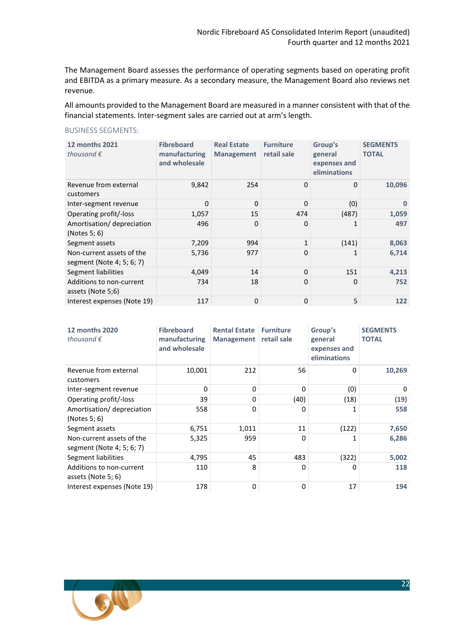The Management Board assesses the performance of operating segments based on operating profit and EBITDA as a primary measure. As a secondary measure, the Management Board also reviews net revenue.

All amounts provided to the Management Board are measured in a manner consistent with that of the financial statements. Inter-segment sales are carried out at arm's length.

#### BUSINESS SEGMENTS:

| <b>12 months 2021</b><br>thousand $\epsilon$           | <b>Fibreboard</b><br>manufacturing<br>and wholesale | <b>Real Estate</b><br><b>Management</b> | <b>Furniture</b><br>retail sale | Group's<br>general<br>expenses and<br>eliminations | <b>SEGMENTS</b><br><b>TOTAL</b> |
|--------------------------------------------------------|-----------------------------------------------------|-----------------------------------------|---------------------------------|----------------------------------------------------|---------------------------------|
| Revenue from external<br>customers                     | 9,842                                               | 254                                     | $\Omega$                        | $\Omega$                                           | 10,096                          |
| Inter-segment revenue                                  | 0                                                   | 0                                       | $\Omega$                        | (0)                                                | 0                               |
| Operating profit/-loss                                 | 1,057                                               | 15                                      | 474                             | (487)                                              | 1,059                           |
| Amortisation/depreciation<br>(Notes 5; 6)              | 496                                                 | 0                                       | $\Omega$                        | 1                                                  | 497                             |
| Segment assets                                         | 7,209                                               | 994                                     | $\mathbf{1}$                    | (141)                                              | 8,063                           |
| Non-current assets of the<br>segment (Note 4; 5; 6; 7) | 5,736                                               | 977                                     | $\Omega$                        | 1                                                  | 6,714                           |
| Segment liabilities                                    | 4,049                                               | 14                                      | $\Omega$                        | 151                                                | 4,213                           |
| Additions to non-current<br>assets (Note 5;6)          | 734                                                 | 18                                      | $\Omega$                        | $\Omega$                                           | 752                             |
| Interest expenses (Note 19)                            | 117                                                 | 0                                       | 0                               | 5                                                  | 122                             |

| <b>12 months 2020</b><br>thousand $\epsilon$           | <b>Fibreboard</b><br>manufacturing<br>and wholesale | <b>Rental Estate</b><br>Management | <b>Furniture</b><br>retail sale | Group's<br>general<br>expenses and<br>eliminations | <b>SEGMENTS</b><br><b>TOTAL</b> |
|--------------------------------------------------------|-----------------------------------------------------|------------------------------------|---------------------------------|----------------------------------------------------|---------------------------------|
| Revenue from external                                  | 10,001                                              | 212                                | 56                              | 0                                                  | 10,269                          |
| customers                                              |                                                     |                                    |                                 |                                                    |                                 |
| Inter-segment revenue                                  | 0                                                   | 0                                  | 0                               | (0)                                                | 0                               |
| Operating profit/-loss                                 | 39                                                  | 0                                  | (40)                            | (18)                                               | (19)                            |
| Amortisation/depreciation<br>(Notes 5; 6)              | 558                                                 | 0                                  | O                               |                                                    | 558                             |
| Segment assets                                         | 6,751                                               | 1,011                              | 11                              | (122)                                              | 7,650                           |
| Non-current assets of the<br>segment (Note 4; 5; 6; 7) | 5,325                                               | 959                                | $\Omega$                        |                                                    | 6,286                           |
| Segment liabilities                                    | 4,795                                               | 45                                 | 483                             | (322)                                              | 5,002                           |
| Additions to non-current<br>assets (Note 5; 6)         | 110                                                 | 8                                  | $\Omega$                        | 0                                                  | 118                             |
| Interest expenses (Note 19)                            | 178                                                 | 0                                  | 0                               | 17                                                 | 194                             |

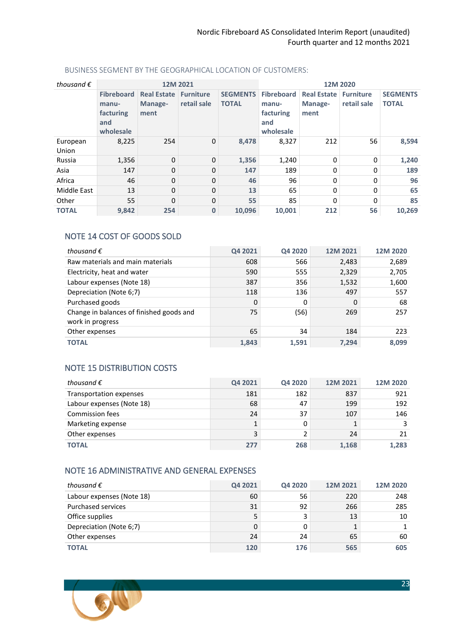| BUSINESS SEGMENT BY THE GEOGRAPHICAL LOCATION OF CUSTOMERS: |
|-------------------------------------------------------------|
|-------------------------------------------------------------|

| thousand $\epsilon$ | 12M 2021                                                    |                                       |                                 |                                 | 12M 2020                                                    |                                       |                                 |                                 |
|---------------------|-------------------------------------------------------------|---------------------------------------|---------------------------------|---------------------------------|-------------------------------------------------------------|---------------------------------------|---------------------------------|---------------------------------|
|                     | <b>Fibreboard</b><br>manu-<br>facturing<br>and<br>wholesale | <b>Real Estate</b><br>Manage-<br>ment | <b>Furniture</b><br>retail sale | <b>SEGMENTS</b><br><b>TOTAL</b> | <b>Fibreboard</b><br>manu-<br>facturing<br>and<br>wholesale | <b>Real Estate</b><br>Manage-<br>ment | <b>Furniture</b><br>retail sale | <b>SEGMENTS</b><br><b>TOTAL</b> |
| European<br>Union   | 8,225                                                       | 254                                   | 0                               | 8.478                           | 8,327                                                       | 212                                   | 56                              | 8,594                           |
| Russia              | 1,356                                                       | 0                                     | 0                               | 1,356                           | 1,240                                                       | 0                                     | 0                               | 1,240                           |
| Asia                | 147                                                         | 0                                     | 0                               | 147                             | 189                                                         | $\Omega$                              | 0                               | 189                             |
| Africa              | 46                                                          | 0                                     | 0                               | 46                              | 96                                                          | $\Omega$                              | 0                               | 96                              |
| Middle East         | 13                                                          | 0                                     | 0                               | 13                              | 65                                                          | 0                                     | 0                               | 65                              |
| Other               | 55                                                          | 0                                     | 0                               | 55                              | 85                                                          | 0                                     | 0                               | 85                              |
| <b>TOTAL</b>        | 9,842                                                       | 254                                   | $\bf{0}$                        | 10,096                          | 10,001                                                      | 212                                   | 56                              | 10,269                          |

# <span id="page-22-0"></span>NOTE 14 COST OF GOODS SOLD

| thousand $\epsilon$                                          | Q4 2021 | Q4 2020 | 12M 2021 | 12M 2020 |
|--------------------------------------------------------------|---------|---------|----------|----------|
| Raw materials and main materials                             | 608     | 566     | 2,483    | 2,689    |
| Electricity, heat and water                                  | 590     | 555     | 2,329    | 2,705    |
| Labour expenses (Note 18)                                    | 387     | 356     | 1,532    | 1,600    |
| Depreciation (Note 6;7)                                      | 118     | 136     | 497      | 557      |
| Purchased goods                                              | 0       | 0       | $\Omega$ | 68       |
| Change in balances of finished goods and<br>work in progress | 75      | (56)    | 269      | 257      |
| Other expenses                                               | 65      | 34      | 184      | 223      |
| <b>TOTAL</b>                                                 | 1,843   | 1,591   | 7,294    | 8,099    |

# <span id="page-22-1"></span>NOTE 15 DISTRIBUTION COSTS

| thousand $\epsilon$       | Q4 2021 | Q4 2020 | 12M 2021 | 12M 2020 |
|---------------------------|---------|---------|----------|----------|
| Transportation expenses   | 181     | 182     | 837      | 921      |
| Labour expenses (Note 18) | 68      | 47      | 199      | 192      |
| <b>Commission fees</b>    | 24      | 37      | 107      | 146      |
| Marketing expense         |         | 0       |          |          |
| Other expenses            | ͻ       | 2       | 24       | 21       |
| <b>TOTAL</b>              | 277     | 268     | 1,168    | 1,283    |

# <span id="page-22-2"></span>NOTE 16 ADMINISTRATIVE AND GENERAL EXPENSES

<span id="page-22-3"></span>

| thousand $\epsilon$       | Q4 2021 | Q4 2020 | 12M 2021 | 12M 2020 |
|---------------------------|---------|---------|----------|----------|
| Labour expenses (Note 18) | 60      | 56      | 220      | 248      |
| <b>Purchased services</b> | 31      | 92      | 266      | 285      |
| Office supplies           |         | 3       | 13       | 10       |
| Depreciation (Note 6;7)   |         | 0       |          |          |
| Other expenses            | 24      | 24      | 65       | 60       |
| <b>TOTAL</b>              | 120     | 176     | 565      | 605      |

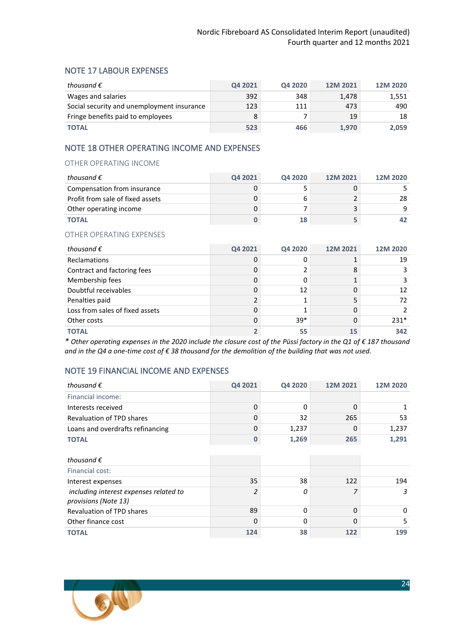# NOTE 17 LABOUR EXPENSES

| thousand $\epsilon$                        | Q4 2021 | Q4 2020 | 12M 2021 | 12M 2020 |
|--------------------------------------------|---------|---------|----------|----------|
| Wages and salaries                         | 392     | 348     | 1.478    | 1,551    |
| Social security and unemployment insurance | 123     | 111     | 473      | 490      |
| Fringe benefits paid to employees          |         |         | 19       | 18       |
| <b>TOTAL</b>                               | 523     | 466     | 1.970    | 2,059    |

# <span id="page-23-0"></span>NOTE 18 OTHER OPERATING INCOME AND EXPENSES

### OTHER OPERATING INCOME

| thousand $\epsilon$              | Q4 2021 | Q4 2020 | 12M 2021 | 12M 2020 |
|----------------------------------|---------|---------|----------|----------|
| Compensation from insurance      |         |         |          |          |
| Profit from sale of fixed assets |         | 6       |          | 28       |
| Other operating income           |         |         |          | q        |
| <b>TOTAL</b>                     |         | 18      |          |          |

# OTHER OPERATING EXPENSES

| thousand $\epsilon$             | Q4 2021 | Q4 2020 | 12M 2021 | 12M 2020 |
|---------------------------------|---------|---------|----------|----------|
| <b>Reclamations</b>             |         | 0       |          | 19       |
| Contract and factoring fees     |         | 2       |          |          |
| Membership fees                 |         | 0       |          |          |
| Doubtful receivables            |         | 12      |          | 12       |
| Penalties paid                  |         | 1       |          | 72       |
| Loss from sales of fixed assets |         |         |          |          |
| Other costs                     |         | $39*$   |          | $231*$   |
| <b>TOTAL</b>                    |         | 55      | 15       | 342      |

*\* Other operating expenses in the 2020 include the closure cost of the Püssi factory in the Q1 of € 187 thousand and in the Q4 a one-time cost of € 38 thousand for the demolition of the building that was not used.* 

# <span id="page-23-1"></span>NOTE 19 FINANCIAL INCOME AND EXPENSES

| thousand $\epsilon$                                            | Q4 2021  | Q4 2020 | 12M 2021 | 12M 2020 |
|----------------------------------------------------------------|----------|---------|----------|----------|
| Financial income:                                              |          |         |          |          |
| Interests received                                             | $\Omega$ | 0       | $\Omega$ |          |
| <b>Revaluation of TPD shares</b>                               | $\Omega$ | 32      | 265      | 53       |
| Loans and overdrafts refinancing                               | $\Omega$ | 1,237   | $\Omega$ | 1,237    |
| <b>TOTAL</b>                                                   | n        | 1,269   | 265      | 1,291    |
|                                                                |          |         |          |          |
| thousand $\epsilon$                                            |          |         |          |          |
| Financial cost:                                                |          |         |          |          |
| Interest expenses                                              | 35       | 38      | 122      | 194      |
| including interest expenses related to<br>provisions (Note 13) | 2        | 0       |          | 3        |
| <b>Revaluation of TPD shares</b>                               | 89       | 0       | $\Omega$ | 0        |
| Other finance cost                                             | 0        | 0       | 0        | 5        |
| <b>TOTAL</b>                                                   | 124      | 38      | 122      | 199      |